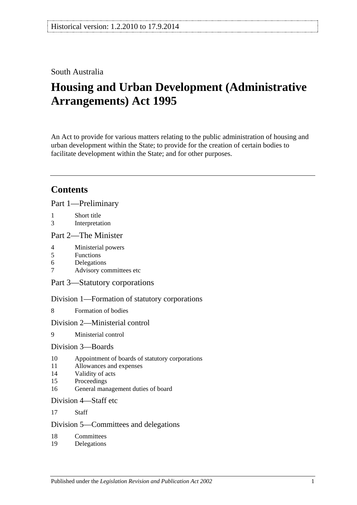## South Australia

# **Housing and Urban Development (Administrative Arrangements) Act 1995**

An Act to provide for various matters relating to the public administration of housing and urban development within the State; to provide for the creation of certain bodies to facilitate development within the State; and for other purposes.

## **Contents**

[Part 1—Preliminary](#page-1-0)

- 1 [Short title](#page-1-1)
- 3 [Interpretation](#page-2-0)

#### [Part 2—The Minister](#page-3-0)

- 4 [Ministerial powers](#page-3-1)
- 5 [Functions](#page-3-2)
- 6 [Delegations](#page-4-0)
- 7 [Advisory committees etc](#page-5-0)

[Part 3—Statutory corporations](#page-5-1)

[Division 1—Formation of statutory corporations](#page-5-2)

8 [Formation of bodies](#page-5-3)

#### [Division 2—Ministerial control](#page-6-0)

9 [Ministerial control](#page-6-1)

#### [Division 3—Boards](#page-6-2)

- 10 [Appointment of boards of statutory corporations](#page-6-3)
- 11 [Allowances and expenses](#page-7-0)
- 14 [Validity of acts](#page-7-1)
- 15 [Proceedings](#page-7-2)
- 16 [General management duties of board](#page-8-0)

#### [Division 4—Staff etc](#page-9-0)

17 [Staff](#page-9-1)

#### [Division 5—Committees and delegations](#page-9-2)

- 18 [Committees](#page-9-3)
- 19 [Delegations](#page-9-4)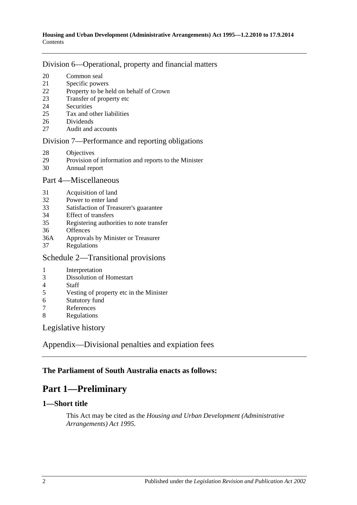#### [Division 6—Operational, property and financial matters](#page-10-0)

- [Common seal](#page-10-1)
- [Specific powers](#page-10-2)
- [Property to be held on behalf of Crown](#page-11-0)
- [Transfer of property etc](#page-11-1)
- [Securities](#page-11-2)
- [Tax and other liabilities](#page-11-3)
- [Dividends](#page-12-0)
- [Audit and accounts](#page-13-0)

#### [Division 7—Performance and reporting obligations](#page-13-1)

- [Objectives](#page-13-2)
- [Provision of information and reports to the Minister](#page-13-3)
- [Annual report](#page-14-0)

#### [Part 4—Miscellaneous](#page-14-1)

- [Acquisition of land](#page-14-2)
- [Power to enter land](#page-14-3)
- [Satisfaction of Treasurer's guarantee](#page-14-4)
- [Effect of transfers](#page-15-0)
- [Registering authorities to note transfer](#page-15-1)
- [Offences](#page-15-2)
- 36A Approvals by [Minister or Treasurer](#page-15-3)
- [Regulations](#page-15-4)

## [Schedule 2—Transitional provisions](#page-16-0)

- [Interpretation](#page-16-1)
- [Dissolution of Homestart](#page-16-2)
- [Staff](#page-16-3)<br>5 Vesti
- [Vesting of property etc in the Minister](#page-17-0)
- [Statutory fund](#page-17-1)
- [References](#page-17-2)
- [Regulations](#page-17-3)

[Legislative history](#page-18-0)

[Appendix—Divisional penalties and expiation fees](#page-20-0)

## <span id="page-1-0"></span>**The Parliament of South Australia enacts as follows:**

## **Part 1—Preliminary**

#### <span id="page-1-1"></span>**1—Short title**

This Act may be cited as the *Housing and Urban Development (Administrative Arrangements) Act 1995*.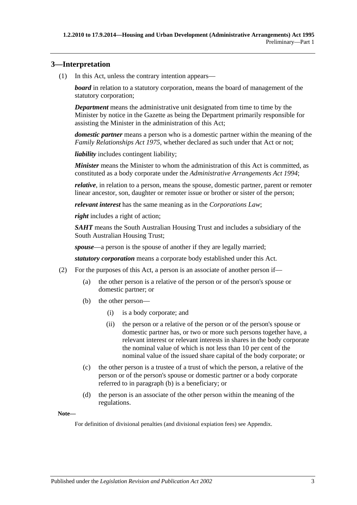### <span id="page-2-0"></span>**3—Interpretation**

(1) In this Act, unless the contrary intention appears—

*board* in relation to a statutory corporation, means the board of management of the statutory corporation;

*Department* means the administrative unit designated from time to time by the Minister by notice in the Gazette as being the Department primarily responsible for assisting the Minister in the administration of this Act;

*domestic partner* means a person who is a domestic partner within the meaning of the *[Family Relationships Act](http://www.legislation.sa.gov.au/index.aspx?action=legref&type=act&legtitle=Family%20Relationships%20Act%201975) 1975*, whether declared as such under that Act or not;

*liability* includes contingent liability;

*Minister* means the Minister to whom the administration of this Act is committed, as constituted as a body corporate under the *[Administrative Arrangements Act](http://www.legislation.sa.gov.au/index.aspx?action=legref&type=act&legtitle=Administrative%20Arrangements%20Act%201994) 1994*;

*relative*, in relation to a person, means the spouse, domestic partner, parent or remoter linear ancestor, son, daughter or remoter issue or brother or sister of the person;

*relevant interest* has the same meaning as in the *Corporations Law*;

*right* includes a right of action;

*SAHT* means the South Australian Housing Trust and includes a subsidiary of the South Australian Housing Trust;

*spouse*—a person is the spouse of another if they are legally married;

*statutory corporation* means a corporate body established under this Act.

- <span id="page-2-1"></span>(2) For the purposes of this Act, a person is an associate of another person if—
	- (a) the other person is a relative of the person or of the person's spouse or domestic partner; or
	- (b) the other person—
		- (i) is a body corporate; and
		- (ii) the person or a relative of the person or of the person's spouse or domestic partner has, or two or more such persons together have, a relevant interest or relevant interests in shares in the body corporate the nominal value of which is not less than 10 per cent of the nominal value of the issued share capital of the body corporate; or
	- (c) the other person is a trustee of a trust of which the person, a relative of the person or of the person's spouse or domestic partner or a body corporate referred to in [paragraph](#page-2-1) (b) is a beneficiary; or
	- (d) the person is an associate of the other person within the meaning of the regulations.

**Note—**

For definition of divisional penalties (and divisional expiation fees) see Appendix.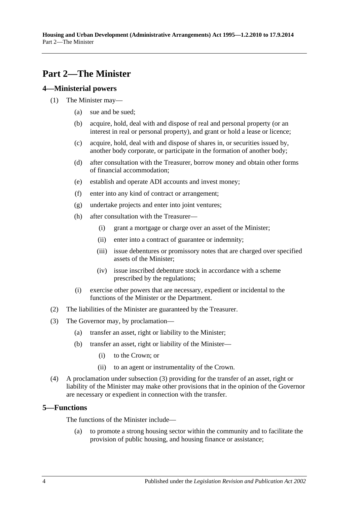## <span id="page-3-0"></span>**Part 2—The Minister**

#### <span id="page-3-1"></span>**4—Ministerial powers**

- (1) The Minister may—
	- (a) sue and be sued;
	- (b) acquire, hold, deal with and dispose of real and personal property (or an interest in real or personal property), and grant or hold a lease or licence;
	- (c) acquire, hold, deal with and dispose of shares in, or securities issued by, another body corporate, or participate in the formation of another body;
	- (d) after consultation with the Treasurer, borrow money and obtain other forms of financial accommodation;
	- (e) establish and operate ADI accounts and invest money;
	- (f) enter into any kind of contract or arrangement;
	- (g) undertake projects and enter into joint ventures;
	- (h) after consultation with the Treasurer—
		- (i) grant a mortgage or charge over an asset of the Minister;
		- (ii) enter into a contract of guarantee or indemnity;
		- (iii) issue debentures or promissory notes that are charged over specified assets of the Minister;
		- (iv) issue inscribed debenture stock in accordance with a scheme prescribed by the regulations;
	- (i) exercise other powers that are necessary, expedient or incidental to the functions of the Minister or the Department.
- (2) The liabilities of the Minister are guaranteed by the Treasurer.
- <span id="page-3-3"></span>(3) The Governor may, by proclamation—
	- (a) transfer an asset, right or liability to the Minister;
	- (b) transfer an asset, right or liability of the Minister—
		- (i) to the Crown; or
		- (ii) to an agent or instrumentality of the Crown.
- (4) A proclamation under [subsection](#page-3-3) (3) providing for the transfer of an asset, right or liability of the Minister may make other provisions that in the opinion of the Governor are necessary or expedient in connection with the transfer.

#### <span id="page-3-2"></span>**5—Functions**

The functions of the Minister include—

(a) to promote a strong housing sector within the community and to facilitate the provision of public housing, and housing finance or assistance;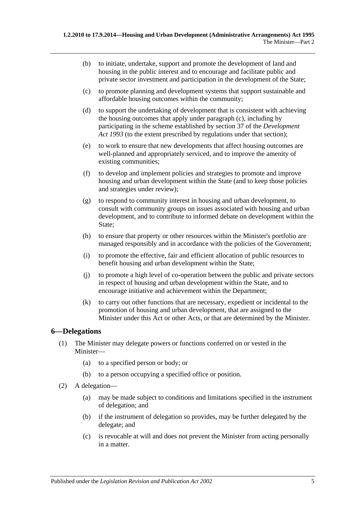- (b) to initiate, undertake, support and promote the development of land and housing in the public interest and to encourage and facilitate public and private sector investment and participation in the development of the State;
- <span id="page-4-1"></span>(c) to promote planning and development systems that support sustainable and affordable housing outcomes within the community;
- (d) to support the undertaking of development that is consistent with achieving the housing outcomes that apply under [paragraph](#page-4-1) (c), including by participating in the scheme established by section 37 of the *[Development](http://www.legislation.sa.gov.au/index.aspx?action=legref&type=act&legtitle=Development%20Act%201993)  Act [1993](http://www.legislation.sa.gov.au/index.aspx?action=legref&type=act&legtitle=Development%20Act%201993)* (to the extent prescribed by regulations under that section);
- (e) to work to ensure that new developments that affect housing outcomes are well-planned and appropriately serviced, and to improve the amenity of existing communities;
- (f) to develop and implement policies and strategies to promote and improve housing and urban development within the State (and to keep those policies and strategies under review);
- (g) to respond to community interest in housing and urban development, to consult with community groups on issues associated with housing and urban development, and to contribute to informed debate on development within the State;
- (h) to ensure that property or other resources within the Minister's portfolio are managed responsibly and in accordance with the policies of the Government;
- (i) to promote the effective, fair and efficient allocation of public resources to benefit housing and urban development within the State;
- (j) to promote a high level of co-operation between the public and private sectors in respect of housing and urban development within the State, and to encourage initiative and achievement within the Department;
- (k) to carry out other functions that are necessary, expedient or incidental to the promotion of housing and urban development, that are assigned to the Minister under this Act or other Acts, or that are determined by the Minister.

#### <span id="page-4-0"></span>**6—Delegations**

- (1) The Minister may delegate powers or functions conferred on or vested in the Minister—
	- (a) to a specified person or body; or
	- (b) to a person occupying a specified office or position.
- (2) A delegation—
	- (a) may be made subject to conditions and limitations specified in the instrument of delegation; and
	- (b) if the instrument of delegation so provides, may be further delegated by the delegate; and
	- (c) is revocable at will and does not prevent the Minister from acting personally in a matter.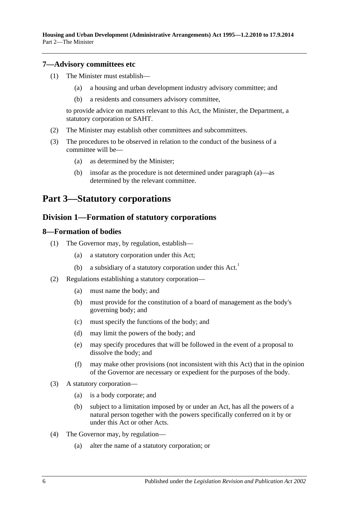**Housing and Urban Development (Administrative Arrangements) Act 1995—1.2.2010 to 17.9.2014** Part 2—The Minister

#### <span id="page-5-0"></span>**7—Advisory committees etc**

- (1) The Minister must establish—
	- (a) a housing and urban development industry advisory committee; and
	- (b) a residents and consumers advisory committee,

to provide advice on matters relevant to this Act, the Minister, the Department, a statutory corporation or SAHT.

- (2) The Minister may establish other committees and subcommittees.
- <span id="page-5-4"></span>(3) The procedures to be observed in relation to the conduct of the business of a committee will be—
	- (a) as determined by the Minister;
	- (b) insofar as the procedure is not determined under [paragraph](#page-5-4) (a)—as determined by the relevant committee.

## <span id="page-5-2"></span><span id="page-5-1"></span>**Part 3—Statutory corporations**

#### **Division 1—Formation of statutory corporations**

#### <span id="page-5-3"></span>**8—Formation of bodies**

- (1) The Governor may, by regulation, establish—
	- (a) a statutory corporation under this Act;
	- (b) a subsidiary of a statutory corporation under this  $Act.$ <sup>1</sup>
- <span id="page-5-6"></span>(2) Regulations establishing a statutory corporation—
	- (a) must name the body; and
	- (b) must provide for the constitution of a board of management as the body's governing body; and
	- (c) must specify the functions of the body; and
	- (d) may limit the powers of the body; and
	- (e) may specify procedures that will be followed in the event of a proposal to dissolve the body; and
	- (f) may make other provisions (not inconsistent with this Act) that in the opinion of the Governor are necessary or expedient for the purposes of the body.
- <span id="page-5-5"></span>(3) A statutory corporation—
	- (a) is a body corporate; and
	- (b) subject to a limitation imposed by or under an Act, has all the powers of a natural person together with the powers specifically conferred on it by or under this Act or other Acts.
- (4) The Governor may, by regulation—
	- (a) alter the name of a statutory corporation; or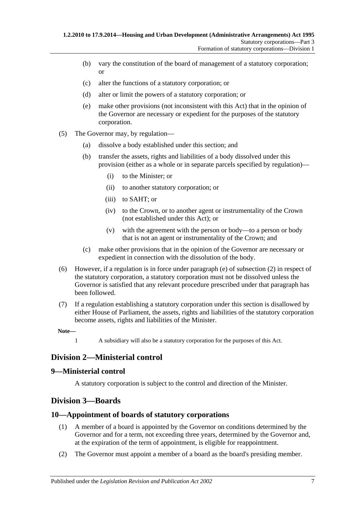- (b) vary the constitution of the board of management of a statutory corporation; or
- (c) alter the functions of a statutory corporation; or
- (d) alter or limit the powers of a statutory corporation; or
- (e) make other provisions (not inconsistent with this Act) that in the opinion of the Governor are necessary or expedient for the purposes of the statutory corporation.
- (5) The Governor may, by regulation—
	- (a) dissolve a body established under this section; and
	- (b) transfer the assets, rights and liabilities of a body dissolved under this provision (either as a whole or in separate parcels specified by regulation)—
		- (i) to the Minister; or
		- (ii) to another statutory corporation; or
		- (iii) to SAHT; or
		- (iv) to the Crown, or to another agent or instrumentality of the Crown (not established under this Act); or
		- (v) with the agreement with the person or body—to a person or body that is not an agent or instrumentality of the Crown; and
	- (c) make other provisions that in the opinion of the Governor are necessary or expedient in connection with the dissolution of the body.
- (6) However, if a regulation is in force under [paragraph](#page-5-5) (e) of [subsection](#page-5-6) (2) in respect of the statutory corporation, a statutory corporation must not be dissolved unless the Governor is satisfied that any relevant procedure prescribed under that paragraph has been followed.
- (7) If a regulation establishing a statutory corporation under this section is disallowed by either House of Parliament, the assets, rights and liabilities of the statutory corporation become assets, rights and liabilities of the Minister.

1 A subsidiary will also be a statutory corporation for the purposes of this Act.

## <span id="page-6-0"></span>**Division 2—Ministerial control**

#### <span id="page-6-1"></span>**9—Ministerial control**

A statutory corporation is subject to the control and direction of the Minister.

## <span id="page-6-2"></span>**Division 3—Boards**

#### <span id="page-6-3"></span>**10—Appointment of boards of statutory corporations**

- (1) A member of a board is appointed by the Governor on conditions determined by the Governor and for a term, not exceeding three years, determined by the Governor and, at the expiration of the term of appointment, is eligible for reappointment.
- (2) The Governor must appoint a member of a board as the board's presiding member.

**Note—**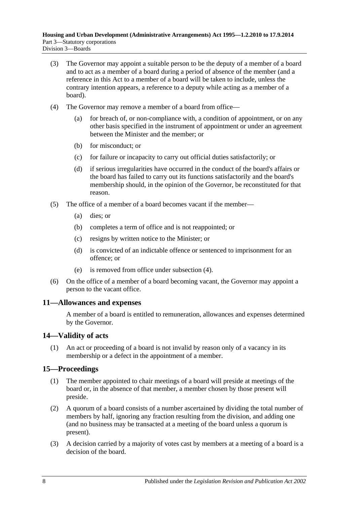- (3) The Governor may appoint a suitable person to be the deputy of a member of a board and to act as a member of a board during a period of absence of the member (and a reference in this Act to a member of a board will be taken to include, unless the contrary intention appears, a reference to a deputy while acting as a member of a board).
- <span id="page-7-3"></span>(4) The Governor may remove a member of a board from office—
	- (a) for breach of, or non-compliance with, a condition of appointment, or on any other basis specified in the instrument of appointment or under an agreement between the Minister and the member; or
	- (b) for misconduct; or
	- (c) for failure or incapacity to carry out official duties satisfactorily; or
	- (d) if serious irregularities have occurred in the conduct of the board's affairs or the board has failed to carry out its functions satisfactorily and the board's membership should, in the opinion of the Governor, be reconstituted for that reason.
- (5) The office of a member of a board becomes vacant if the member—
	- (a) dies; or
	- (b) completes a term of office and is not reappointed; or
	- (c) resigns by written notice to the Minister; or
	- (d) is convicted of an indictable offence or sentenced to imprisonment for an offence; or
	- (e) is removed from office under [subsection](#page-7-3) (4).
- (6) On the office of a member of a board becoming vacant, the Governor may appoint a person to the vacant office.

#### <span id="page-7-0"></span>**11—Allowances and expenses**

A member of a board is entitled to remuneration, allowances and expenses determined by the Governor.

#### <span id="page-7-1"></span>**14—Validity of acts**

(1) An act or proceeding of a board is not invalid by reason only of a vacancy in its membership or a defect in the appointment of a member.

## <span id="page-7-2"></span>**15—Proceedings**

- (1) The member appointed to chair meetings of a board will preside at meetings of the board or, in the absence of that member, a member chosen by those present will preside.
- (2) A quorum of a board consists of a number ascertained by dividing the total number of members by half, ignoring any fraction resulting from the division, and adding one (and no business may be transacted at a meeting of the board unless a quorum is present).
- (3) A decision carried by a majority of votes cast by members at a meeting of a board is a decision of the board.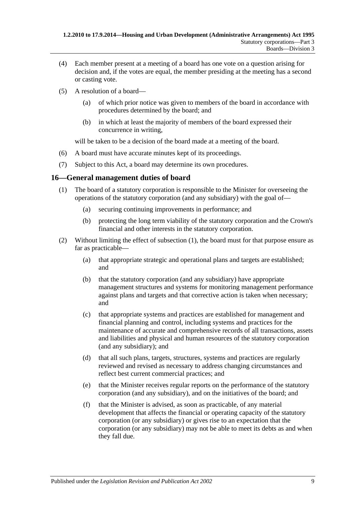- (4) Each member present at a meeting of a board has one vote on a question arising for decision and, if the votes are equal, the member presiding at the meeting has a second or casting vote.
- (5) A resolution of a board—
	- (a) of which prior notice was given to members of the board in accordance with procedures determined by the board; and
	- (b) in which at least the majority of members of the board expressed their concurrence in writing,

will be taken to be a decision of the board made at a meeting of the board.

- (6) A board must have accurate minutes kept of its proceedings.
- (7) Subject to this Act, a board may determine its own procedures.

#### <span id="page-8-1"></span><span id="page-8-0"></span>**16—General management duties of board**

- (1) The board of a statutory corporation is responsible to the Minister for overseeing the operations of the statutory corporation (and any subsidiary) with the goal of—
	- (a) securing continuing improvements in performance; and
	- (b) protecting the long term viability of the statutory corporation and the Crown's financial and other interests in the statutory corporation.
- (2) Without limiting the effect of [subsection](#page-8-1) (1), the board must for that purpose ensure as far as practicable—
	- (a) that appropriate strategic and operational plans and targets are established; and
	- (b) that the statutory corporation (and any subsidiary) have appropriate management structures and systems for monitoring management performance against plans and targets and that corrective action is taken when necessary; and
	- (c) that appropriate systems and practices are established for management and financial planning and control, including systems and practices for the maintenance of accurate and comprehensive records of all transactions, assets and liabilities and physical and human resources of the statutory corporation (and any subsidiary); and
	- (d) that all such plans, targets, structures, systems and practices are regularly reviewed and revised as necessary to address changing circumstances and reflect best current commercial practices; and
	- (e) that the Minister receives regular reports on the performance of the statutory corporation (and any subsidiary), and on the initiatives of the board; and
	- (f) that the Minister is advised, as soon as practicable, of any material development that affects the financial or operating capacity of the statutory corporation (or any subsidiary) or gives rise to an expectation that the corporation (or any subsidiary) may not be able to meet its debts as and when they fall due.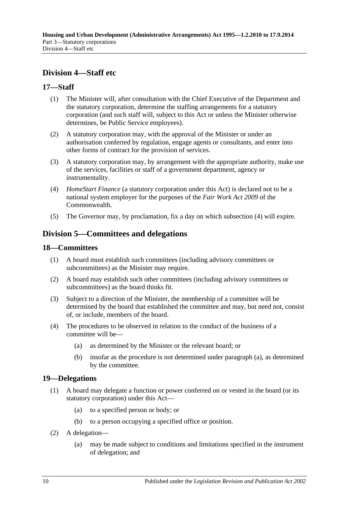## <span id="page-9-0"></span>**Division 4—Staff etc**

### <span id="page-9-1"></span>**17—Staff**

- (1) The Minister will, after consultation with the Chief Executive of the Department and the statutory corporation, determine the staffing arrangements for a statutory corporation (and such staff will, subject to this Act or unless the Minister otherwise determines, be Public Service employees).
- (2) A statutory corporation may, with the approval of the Minister or under an authorisation conferred by regulation, engage agents or consultants, and enter into other forms of contract for the provision of services.
- (3) A statutory corporation may, by arrangement with the appropriate authority, make use of the services, facilities or staff of a government department, agency or instrumentality.
- <span id="page-9-5"></span>(4) *HomeStart Finance* (a statutory corporation under this Act) is declared not to be a national system employer for the purposes of the *Fair Work Act 2009* of the Commonwealth.
- (5) The Governor may, by proclamation, fix a day on which [subsection](#page-9-5) (4) will expire.

## <span id="page-9-2"></span>**Division 5—Committees and delegations**

#### <span id="page-9-3"></span>**18—Committees**

- (1) A board must establish such committees (including advisory committees or subcommittees) as the Minister may require.
- (2) A board may establish such other committees (including advisory committees or subcommittees) as the board thinks fit.
- (3) Subject to a direction of the Minister, the membership of a committee will be determined by the board that established the committee and may, but need not, consist of, or include, members of the board.
- <span id="page-9-6"></span>(4) The procedures to be observed in relation to the conduct of the business of a committee will be—
	- (a) as determined by the Minister or the relevant board; or
	- (b) insofar as the procedure is not determined under [paragraph](#page-9-6) (a), as determined by the committee.

#### <span id="page-9-4"></span>**19—Delegations**

- (1) A board may delegate a function or power conferred on or vested in the board (or its statutory corporation) under this Act—
	- (a) to a specified person or body; or
	- (b) to a person occupying a specified office or position.
- (2) A delegation—
	- (a) may be made subject to conditions and limitations specified in the instrument of delegation; and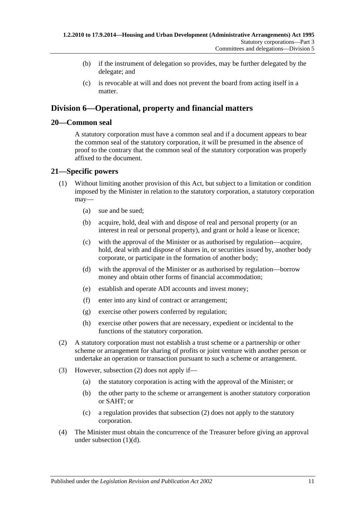- (b) if the instrument of delegation so provides, may be further delegated by the delegate; and
- (c) is revocable at will and does not prevent the board from acting itself in a matter.

## <span id="page-10-0"></span>**Division 6—Operational, property and financial matters**

#### <span id="page-10-1"></span>**20—Common seal**

A statutory corporation must have a common seal and if a document appears to bear the common seal of the statutory corporation, it will be presumed in the absence of proof to the contrary that the common seal of the statutory corporation was properly affixed to the document.

### <span id="page-10-2"></span>**21—Specific powers**

- (1) Without limiting another provision of this Act, but subject to a limitation or condition imposed by the Minister in relation to the statutory corporation, a statutory corporation may—
	- (a) sue and be sued;
	- (b) acquire, hold, deal with and dispose of real and personal property (or an interest in real or personal property), and grant or hold a lease or licence;
	- (c) with the approval of the Minister or as authorised by regulation—acquire, hold, deal with and dispose of shares in, or securities issued by, another body corporate, or participate in the formation of another body;
	- (d) with the approval of the Minister or as authorised by regulation—borrow money and obtain other forms of financial accommodation;
	- (e) establish and operate ADI accounts and invest money;
	- (f) enter into any kind of contract or arrangement;
	- (g) exercise other powers conferred by regulation;
	- (h) exercise other powers that are necessary, expedient or incidental to the functions of the statutory corporation.
- <span id="page-10-4"></span><span id="page-10-3"></span>(2) A statutory corporation must not establish a trust scheme or a partnership or other scheme or arrangement for sharing of profits or joint venture with another person or undertake an operation or transaction pursuant to such a scheme or arrangement.
- (3) However, [subsection](#page-10-3) (2) does not apply if—
	- (a) the statutory corporation is acting with the approval of the Minister; or
	- (b) the other party to the scheme or arrangement is another statutory corporation or SAHT; or
	- (c) a regulation provides that [subsection](#page-10-3) (2) does not apply to the statutory corporation.
- (4) The Minister must obtain the concurrence of the Treasurer before giving an approval under [subsection](#page-10-4) (1)(d).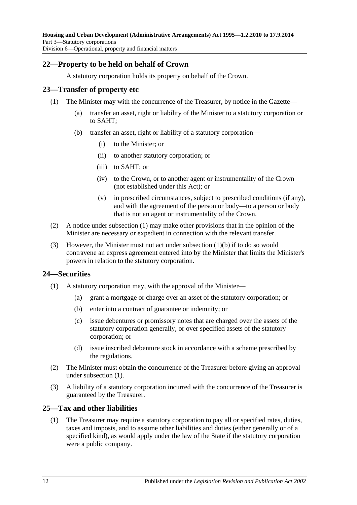### <span id="page-11-0"></span>**22—Property to be held on behalf of Crown**

A statutory corporation holds its property on behalf of the Crown.

#### <span id="page-11-4"></span><span id="page-11-1"></span>**23—Transfer of property etc**

- <span id="page-11-5"></span>(1) The Minister may with the concurrence of the Treasurer, by notice in the Gazette—
	- (a) transfer an asset, right or liability of the Minister to a statutory corporation or to SAHT;
	- (b) transfer an asset, right or liability of a statutory corporation—
		- (i) to the Minister; or
		- (ii) to another statutory corporation; or
		- (iii) to SAHT; or
		- (iv) to the Crown, or to another agent or instrumentality of the Crown (not established under this Act); or
		- (v) in prescribed circumstances, subject to prescribed conditions (if any), and with the agreement of the person or body—to a person or body that is not an agent or instrumentality of the Crown.
- (2) A notice under [subsection](#page-11-4) (1) may make other provisions that in the opinion of the Minister are necessary or expedient in connection with the relevant transfer.
- (3) However, the Minister must not act under [subsection](#page-11-5) (1)(b) if to do so would contravene an express agreement entered into by the Minister that limits the Minister's powers in relation to the statutory corporation.

#### <span id="page-11-6"></span><span id="page-11-2"></span>**24—Securities**

- (1) A statutory corporation may, with the approval of the Minister—
	- (a) grant a mortgage or charge over an asset of the statutory corporation; or
	- (b) enter into a contract of guarantee or indemnity; or
	- (c) issue debentures or promissory notes that are charged over the assets of the statutory corporation generally, or over specified assets of the statutory corporation; or
	- (d) issue inscribed debenture stock in accordance with a scheme prescribed by the regulations.
- (2) The Minister must obtain the concurrence of the Treasurer before giving an approval under [subsection](#page-11-6) (1).
- (3) A liability of a statutory corporation incurred with the concurrence of the Treasurer is guaranteed by the Treasurer.

#### <span id="page-11-3"></span>**25—Tax and other liabilities**

(1) The Treasurer may require a statutory corporation to pay all or specified rates, duties, taxes and imposts, and to assume other liabilities and duties (either generally or of a specified kind), as would apply under the law of the State if the statutory corporation were a public company.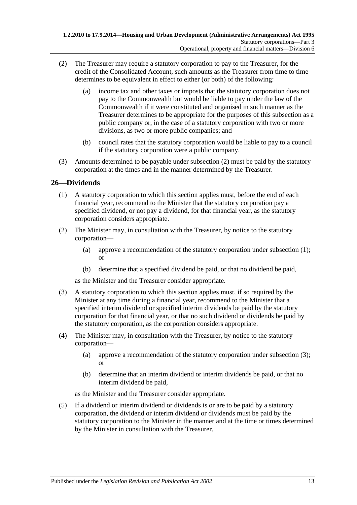- <span id="page-12-1"></span>(2) The Treasurer may require a statutory corporation to pay to the Treasurer, for the credit of the Consolidated Account, such amounts as the Treasurer from time to time determines to be equivalent in effect to either (or both) of the following:
	- (a) income tax and other taxes or imposts that the statutory corporation does not pay to the Commonwealth but would be liable to pay under the law of the Commonwealth if it were constituted and organised in such manner as the Treasurer determines to be appropriate for the purposes of this subsection as a public company or, in the case of a statutory corporation with two or more divisions, as two or more public companies; and
	- (b) council rates that the statutory corporation would be liable to pay to a council if the statutory corporation were a public company.
- (3) Amounts determined to be payable under [subsection](#page-12-1) (2) must be paid by the statutory corporation at the times and in the manner determined by the Treasurer.

## <span id="page-12-2"></span><span id="page-12-0"></span>**26—Dividends**

- (1) A statutory corporation to which this section applies must, before the end of each financial year, recommend to the Minister that the statutory corporation pay a specified dividend, or not pay a dividend, for that financial year, as the statutory corporation considers appropriate.
- (2) The Minister may, in consultation with the Treasurer, by notice to the statutory corporation—
	- (a) approve a recommendation of the statutory corporation under [subsection](#page-12-2) (1); or
	- (b) determine that a specified dividend be paid, or that no dividend be paid,

as the Minister and the Treasurer consider appropriate.

- <span id="page-12-3"></span>(3) A statutory corporation to which this section applies must, if so required by the Minister at any time during a financial year, recommend to the Minister that a specified interim dividend or specified interim dividends be paid by the statutory corporation for that financial year, or that no such dividend or dividends be paid by the statutory corporation, as the corporation considers appropriate.
- (4) The Minister may, in consultation with the Treasurer, by notice to the statutory corporation—
	- (a) approve a recommendation of the statutory corporation under [subsection](#page-12-3) (3); or
	- (b) determine that an interim dividend or interim dividends be paid, or that no interim dividend be paid,

as the Minister and the Treasurer consider appropriate.

(5) If a dividend or interim dividend or dividends is or are to be paid by a statutory corporation, the dividend or interim dividend or dividends must be paid by the statutory corporation to the Minister in the manner and at the time or times determined by the Minister in consultation with the Treasurer.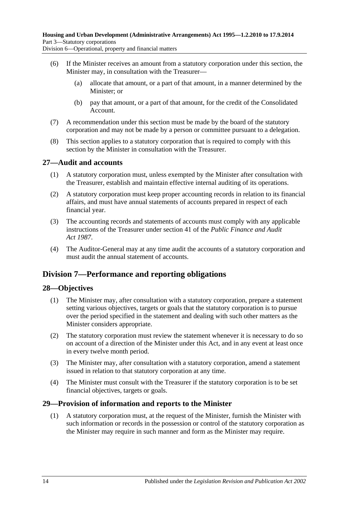Division 6—Operational, property and financial matters

- (6) If the Minister receives an amount from a statutory corporation under this section, the Minister may, in consultation with the Treasurer—
	- (a) allocate that amount, or a part of that amount, in a manner determined by the Minister; or
	- (b) pay that amount, or a part of that amount, for the credit of the Consolidated Account.
- (7) A recommendation under this section must be made by the board of the statutory corporation and may not be made by a person or committee pursuant to a delegation.
- (8) This section applies to a statutory corporation that is required to comply with this section by the Minister in consultation with the Treasurer.

#### <span id="page-13-0"></span>**27—Audit and accounts**

- (1) A statutory corporation must, unless exempted by the Minister after consultation with the Treasurer, establish and maintain effective internal auditing of its operations.
- (2) A statutory corporation must keep proper accounting records in relation to its financial affairs, and must have annual statements of accounts prepared in respect of each financial year.
- (3) The accounting records and statements of accounts must comply with any applicable instructions of the Treasurer under section 41 of the *[Public Finance and Audit](http://www.legislation.sa.gov.au/index.aspx?action=legref&type=act&legtitle=Public%20Finance%20and%20Audit%20Act%201987)  Act [1987](http://www.legislation.sa.gov.au/index.aspx?action=legref&type=act&legtitle=Public%20Finance%20and%20Audit%20Act%201987)*.
- (4) The Auditor-General may at any time audit the accounts of a statutory corporation and must audit the annual statement of accounts.

## <span id="page-13-1"></span>**Division 7—Performance and reporting obligations**

#### <span id="page-13-2"></span>**28—Objectives**

- (1) The Minister may, after consultation with a statutory corporation, prepare a statement setting various objectives, targets or goals that the statutory corporation is to pursue over the period specified in the statement and dealing with such other matters as the Minister considers appropriate.
- (2) The statutory corporation must review the statement whenever it is necessary to do so on account of a direction of the Minister under this Act, and in any event at least once in every twelve month period.
- (3) The Minister may, after consultation with a statutory corporation, amend a statement issued in relation to that statutory corporation at any time.
- (4) The Minister must consult with the Treasurer if the statutory corporation is to be set financial objectives, targets or goals.

#### <span id="page-13-3"></span>**29—Provision of information and reports to the Minister**

(1) A statutory corporation must, at the request of the Minister, furnish the Minister with such information or records in the possession or control of the statutory corporation as the Minister may require in such manner and form as the Minister may require.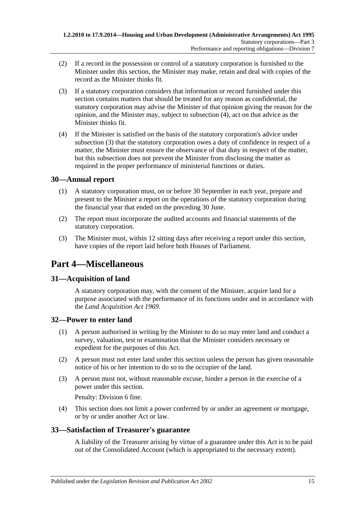- (2) If a record in the possession or control of a statutory corporation is furnished to the Minister under this section, the Minister may make, retain and deal with copies of the record as the Minister thinks fit.
- <span id="page-14-6"></span>(3) If a statutory corporation considers that information or record furnished under this section contains matters that should be treated for any reason as confidential, the statutory corporation may advise the Minister of that opinion giving the reason for the opinion, and the Minister may, subject to [subsection](#page-14-5) (4), act on that advice as the Minister thinks fit.
- <span id="page-14-5"></span>(4) If the Minister is satisfied on the basis of the statutory corporation's advice under [subsection](#page-14-6) (3) that the statutory corporation owes a duty of confidence in respect of a matter, the Minister must ensure the observance of that duty in respect of the matter, but this subsection does not prevent the Minister from disclosing the matter as required in the proper performance of ministerial functions or duties.

## <span id="page-14-0"></span>**30—Annual report**

- (1) A statutory corporation must, on or before 30 September in each year, prepare and present to the Minister a report on the operations of the statutory corporation during the financial year that ended on the preceding 30 June.
- (2) The report must incorporate the audited accounts and financial statements of the statutory corporation.
- (3) The Minister must, within 12 sitting days after receiving a report under this section, have copies of the report laid before both Houses of Parliament.

## <span id="page-14-1"></span>**Part 4—Miscellaneous**

## <span id="page-14-2"></span>**31—Acquisition of land**

A statutory corporation may, with the consent of the Minister, acquire land for a purpose associated with the performance of its functions under and in accordance with the *[Land Acquisition Act](http://www.legislation.sa.gov.au/index.aspx?action=legref&type=act&legtitle=Land%20Acquisition%20Act%201969) 1969*.

#### <span id="page-14-3"></span>**32—Power to enter land**

- (1) A person authorised in writing by the Minister to do so may enter land and conduct a survey, valuation, test or examination that the Minister considers necessary or expedient for the purposes of this Act.
- (2) A person must not enter land under this section unless the person has given reasonable notice of his or her intention to do so to the occupier of the land.
- (3) A person must not, without reasonable excuse, hinder a person in the exercise of a power under this section.

Penalty: Division 6 fine.

(4) This section does not limit a power conferred by or under an agreement or mortgage, or by or under another Act or law.

#### <span id="page-14-4"></span>**33—Satisfaction of Treasurer's guarantee**

A liability of the Treasurer arising by virtue of a guarantee under this Act is to be paid out of the Consolidated Account (which is appropriated to the necessary extent).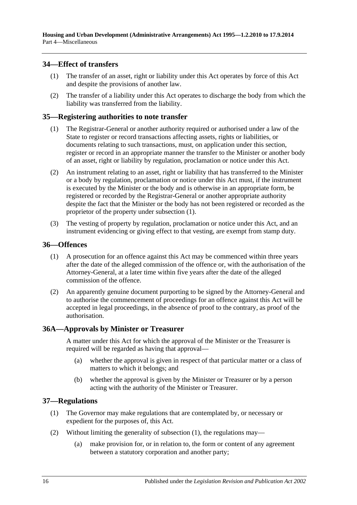#### <span id="page-15-0"></span>**34—Effect of transfers**

- (1) The transfer of an asset, right or liability under this Act operates by force of this Act and despite the provisions of another law.
- (2) The transfer of a liability under this Act operates to discharge the body from which the liability was transferred from the liability.

#### <span id="page-15-5"></span><span id="page-15-1"></span>**35—Registering authorities to note transfer**

- (1) The Registrar-General or another authority required or authorised under a law of the State to register or record transactions affecting assets, rights or liabilities, or documents relating to such transactions, must, on application under this section, register or record in an appropriate manner the transfer to the Minister or another body of an asset, right or liability by regulation, proclamation or notice under this Act.
- (2) An instrument relating to an asset, right or liability that has transferred to the Minister or a body by regulation, proclamation or notice under this Act must, if the instrument is executed by the Minister or the body and is otherwise in an appropriate form, be registered or recorded by the Registrar-General or another appropriate authority despite the fact that the Minister or the body has not been registered or recorded as the proprietor of the property under [subsection](#page-15-5) (1).
- (3) The vesting of property by regulation, proclamation or notice under this Act, and an instrument evidencing or giving effect to that vesting, are exempt from stamp duty.

#### <span id="page-15-2"></span>**36—Offences**

- (1) A prosecution for an offence against this Act may be commenced within three years after the date of the alleged commission of the offence or, with the authorisation of the Attorney-General, at a later time within five years after the date of the alleged commission of the offence.
- (2) An apparently genuine document purporting to be signed by the Attorney-General and to authorise the commencement of proceedings for an offence against this Act will be accepted in legal proceedings, in the absence of proof to the contrary, as proof of the authorisation.

#### <span id="page-15-3"></span>**36A—Approvals by Minister or Treasurer**

A matter under this Act for which the approval of the Minister or the Treasurer is required will be regarded as having that approval—

- (a) whether the approval is given in respect of that particular matter or a class of matters to which it belongs; and
- (b) whether the approval is given by the Minister or Treasurer or by a person acting with the authority of the Minister or Treasurer.

#### <span id="page-15-6"></span><span id="page-15-4"></span>**37—Regulations**

- (1) The Governor may make regulations that are contemplated by, or necessary or expedient for the purposes of, this Act.
- (2) Without limiting the generality of [subsection](#page-15-6) (1), the regulations may—
	- (a) make provision for, or in relation to, the form or content of any agreement between a statutory corporation and another party;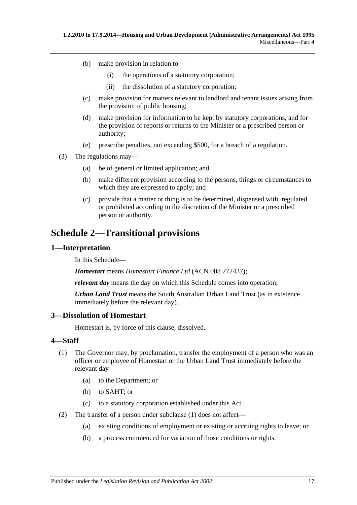- (b) make provision in relation to—
	- (i) the operations of a statutory corporation;
	- (ii) the dissolution of a statutory corporation;
- (c) make provision for matters relevant to landlord and tenant issues arising from the provision of public housing;
- (d) make provision for information to be kept by statutory corporations, and for the provision of reports or returns to the Minister or a prescribed person or authority;
- (e) prescribe penalties, not exceeding \$500, for a breach of a regulation.
- (3) The regulations may—
	- (a) be of general or limited application; and
	- (b) make different provision according to the persons, things or circumstances to which they are expressed to apply; and
	- (c) provide that a matter or thing is to be determined, dispensed with, regulated or prohibited according to the discretion of the Minister or a prescribed person or authority.

## <span id="page-16-0"></span>**Schedule 2—Transitional provisions**

#### <span id="page-16-1"></span>**1—Interpretation**

In this Schedule—

*Homestart* means *Homestart Finance Ltd* (ACN 008 272437);

*relevant day* means the day on which this Schedule comes into operation;

*Urban Land Trust* means the South Australian Urban Land Trust (as in existence immediately before the relevant day).

### <span id="page-16-2"></span>**3—Dissolution of Homestart**

Homestart is, by force of this clause, dissolved.

#### <span id="page-16-4"></span><span id="page-16-3"></span>**4—Staff**

- (1) The Governor may, by proclamation, transfer the employment of a person who was an officer or employee of Homestart or the Urban Land Trust immediately before the relevant day—
	- (a) to the Department; or
	- (b) to SAHT; or
	- (c) to a statutory corporation established under this Act.
- (2) The transfer of a person under [subclause](#page-16-4) (1) does not affect—
	- (a) existing conditions of employment or existing or accruing rights to leave; or
	- (b) a process commenced for variation of those conditions or rights.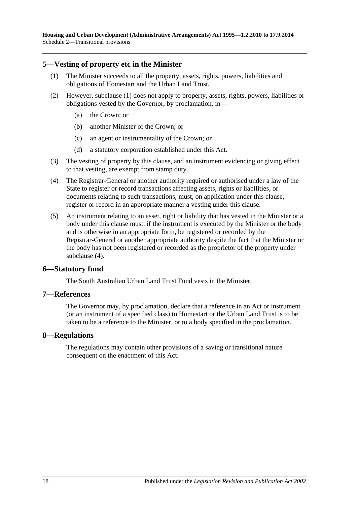#### <span id="page-17-4"></span><span id="page-17-0"></span>**5—Vesting of property etc in the Minister**

- (1) The Minister succeeds to all the property, assets, rights, powers, liabilities and obligations of Homestart and the Urban Land Trust.
- (2) However, [subclause](#page-17-4) (1) does not apply to property, assets, rights, powers, liabilities or obligations vested by the Governor, by proclamation, in—
	- (a) the Crown; or
	- (b) another Minister of the Crown; or
	- (c) an agent or instrumentality of the Crown; or
	- (d) a statutory corporation established under this Act.
- (3) The vesting of property by this clause, and an instrument evidencing or giving effect to that vesting, are exempt from stamp duty.
- <span id="page-17-5"></span>(4) The Registrar-General or another authority required or authorised under a law of the State to register or record transactions affecting assets, rights or liabilities, or documents relating to such transactions, must, on application under this clause, register or record in an appropriate manner a vesting under this clause.
- (5) An instrument relating to an asset, right or liability that has vested in the Minister or a body under this clause must, if the instrument is executed by the Minister or the body and is otherwise in an appropriate form, be registered or recorded by the Registrar-General or another appropriate authority despite the fact that the Minister or the body has not been registered or recorded as the proprietor of the property under [subclause](#page-17-5) (4).

#### <span id="page-17-1"></span>**6—Statutory fund**

The South Australian Urban Land Trust Fund vests in the Minister.

#### <span id="page-17-2"></span>**7—References**

The Governor may, by proclamation, declare that a reference in an Act or instrument (or an instrument of a specified class) to Homestart or the Urban Land Trust is to be taken to be a reference to the Minister, or to a body specified in the proclamation.

#### <span id="page-17-3"></span>**8—Regulations**

The regulations may contain other provisions of a saving or transitional nature consequent on the enactment of this Act.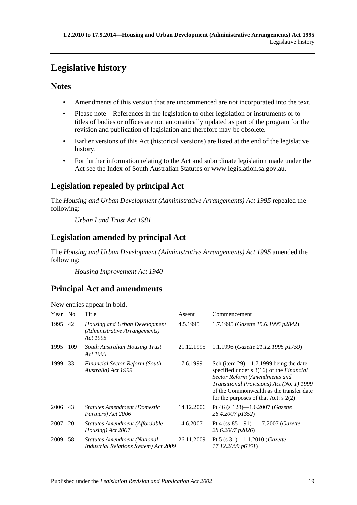## <span id="page-18-0"></span>**Legislative history**

## **Notes**

- Amendments of this version that are uncommenced are not incorporated into the text.
- Please note—References in the legislation to other legislation or instruments or to titles of bodies or offices are not automatically updated as part of the program for the revision and publication of legislation and therefore may be obsolete.
- Earlier versions of this Act (historical versions) are listed at the end of the legislative history.
- For further information relating to the Act and subordinate legislation made under the Act see the Index of South Australian Statutes or www.legislation.sa.gov.au.

## **Legislation repealed by principal Act**

The *Housing and Urban Development (Administrative Arrangements) Act 1995* repealed the following:

*Urban Land Trust Act 1981*

## **Legislation amended by principal Act**

The *Housing and Urban Development (Administrative Arrangements) Act 1995* amended the following:

*Housing Improvement Act 1940*

## **Principal Act and amendments**

| Year | N <sub>0</sub> | Title                                                                               | Assent     | Commencement                                                                                                                                                                                                                                                         |
|------|----------------|-------------------------------------------------------------------------------------|------------|----------------------------------------------------------------------------------------------------------------------------------------------------------------------------------------------------------------------------------------------------------------------|
| 1995 | 42             | Housing and Urban Development<br>(Administrative Arrangements)<br>Act 1995          | 4.5.1995   | 1.7.1995 (Gazette 15.6.1995 p2842)                                                                                                                                                                                                                                   |
| 1995 | 109            | South Australian Housing Trust<br>Act 1995                                          | 21.12.1995 | 1.1.1996 (Gazette 21.12.1995 p1759)                                                                                                                                                                                                                                  |
| 1999 | 33             | <b>Financial Sector Reform (South</b><br>Australia) Act 1999                        | 17.6.1999  | Sch (item $29$ )—1.7.1999 being the date<br>specified under $s \, 3(16)$ of the <i>Financial</i><br>Sector Reform (Amendments and<br>Transitional Provisions) Act (No. 1) 1999<br>of the Commonwealth as the transfer date<br>for the purposes of that Act: $s$ 2(2) |
| 2006 | 43             | <b>Statutes Amendment (Domestic</b><br>Partners) Act 2006                           | 14.12.2006 | Pt 46 (s $128$ )—1.6.2007 ( <i>Gazette</i><br>26.4.2007 p1352)                                                                                                                                                                                                       |
| 2007 | 20             | Statutes Amendment (Affordable<br>Housing) Act 2007                                 | 14.6.2007  | Pt 4 (ss $85-91$ )-1.7.2007 ( <i>Gazette</i><br>28.6.2007 p2826)                                                                                                                                                                                                     |
| 2009 | 58             | <b>Statutes Amendment (National</b><br><b>Industrial Relations System) Act 2009</b> | 26.11.2009 | Pt 5 (s $31$ )-1.1.2010 ( <i>Gazette</i><br>17.12.2009 p6351)                                                                                                                                                                                                        |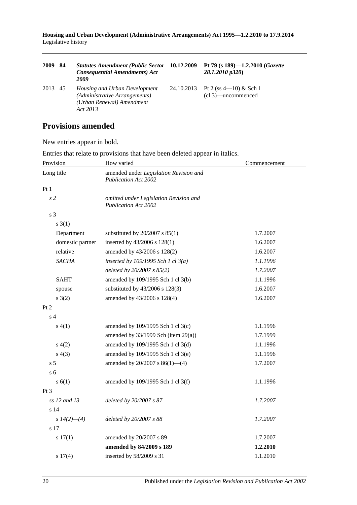**Housing and Urban Development (Administrative Arrangements) Act 1995—1.2.2010 to 17.9.2014** Legislative history

| 2009 | 84 | <b>Statutes Amendment (Public Sector</b><br><b>Consequential Amendments) Act</b><br>2009                       | 10.12.2009 | Pt 79 (s 189)-1.2.2010 (Gazette<br>28.1.2010 p320) |
|------|----|----------------------------------------------------------------------------------------------------------------|------------|----------------------------------------------------|
| 2013 | 45 | <i>Housing and Urban Development</i><br>(Administrative Arrangements)<br>(Urban Renewal) Amendment<br>Act 2013 | 24.10.2013 | Pt 2 (ss $4-10$ ) & Sch 1<br>(cl 3)—uncommenced    |

## **Provisions amended**

New entries appear in bold.

| Provision        | How varied                                                            | Commencement |
|------------------|-----------------------------------------------------------------------|--------------|
| Long title       | amended under Legislation Revision and<br><b>Publication Act 2002</b> |              |
| Pt 1             |                                                                       |              |
| s <sub>2</sub>   | omitted under Legislation Revision and<br><b>Publication Act 2002</b> |              |
| s 3              |                                                                       |              |
| $s \; 3(1)$      |                                                                       |              |
| Department       | substituted by $20/2007$ s $85(1)$                                    | 1.7.2007     |
| domestic partner | inserted by 43/2006 s 128(1)                                          | 1.6.2007     |
| relative         | amended by 43/2006 s 128(2)                                           | 1.6.2007     |
| <b>SACHA</b>     | inserted by $109/1995$ Sch 1 cl $3(a)$                                | 1.1.1996     |
|                  | deleted by 20/2007 s 85(2)                                            | 1.7.2007     |
| <b>SAHT</b>      | amended by 109/1995 Sch 1 cl 3(b)                                     | 1.1.1996     |
| spouse           | substituted by 43/2006 s 128(3)                                       | 1.6.2007     |
| $s \; 3(2)$      | amended by 43/2006 s 128(4)                                           | 1.6.2007     |
| Pt 2             |                                                                       |              |
| s <sub>4</sub>   |                                                                       |              |
| s(4(1))          | amended by 109/1995 Sch 1 cl 3(c)                                     | 1.1.1996     |
|                  | amended by $33/1999$ Sch (item 29(a))                                 | 1.7.1999     |
| s(4(2)           | amended by 109/1995 Sch 1 cl 3(d)                                     | 1.1.1996     |
| s(4(3)           | amended by 109/1995 Sch 1 cl 3(e)                                     | 1.1.1996     |
| s <sub>5</sub>   | amended by $20/2007$ s $86(1)$ —(4)                                   | 1.7.2007     |
| s <sub>6</sub>   |                                                                       |              |
| s(6(1))          | amended by 109/1995 Sch 1 cl 3(f)                                     | 1.1.1996     |
| Pt <sub>3</sub>  |                                                                       |              |
| ss 12 and 13     | deleted by 20/2007 s 87                                               | 1.7.2007     |
| s <sub>14</sub>  |                                                                       |              |
| s $14(2)$ - (4)  | deleted by 20/2007 s 88                                               | 1.7.2007     |
| s 17             |                                                                       |              |
| s 17(1)          | amended by 20/2007 s 89                                               | 1.7.2007     |
|                  | amended by 84/2009 s 189                                              | 1.2.2010     |
| s 17(4)          | inserted by 58/2009 s 31                                              | 1.1.2010     |

Entries that relate to provisions that have been deleted appear in italics.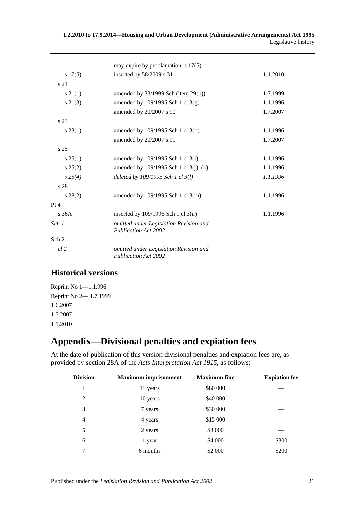#### **1.2.2010 to 17.9.2014—Housing and Urban Development (Administrative Arrangements) Act 1995** Legislative history

|                    | may expire by proclamation: $s$ 17(5)                                 |          |
|--------------------|-----------------------------------------------------------------------|----------|
|                    |                                                                       |          |
| s 17(5)            | inserted by 58/2009 s 31                                              | 1.1.2010 |
| s 21               |                                                                       |          |
| $s\,21(1)$         | amended by $33/1999$ Sch (item $29(b)$ )                              | 1.7.1999 |
| $s\ 21(3)$         | amended by $109/1995$ Sch 1 cl 3(g)                                   | 1.1.1996 |
|                    | amended by 20/2007 s 90                                               | 1.7.2007 |
| s 23               |                                                                       |          |
| $s\,23(1)$         | amended by 109/1995 Sch 1 cl 3(h)                                     | 1.1.1996 |
|                    | amended by 20/2007 s 91                                               | 1.7.2007 |
| s <sub>25</sub>    |                                                                       |          |
| s 25(1)            | amended by 109/1995 Sch 1 cl 3(i)                                     | 1.1.1996 |
| s 25(2)            | amended by 109/1995 Sch 1 cl 3(j), (k)                                | 1.1.1996 |
| $s\,25(4)$         | deleted by $109/1995$ Sch 1 cl $3(l)$                                 | 1.1.1996 |
| s 28               |                                                                       |          |
| $s\,28(2)$         | amended by 109/1995 Sch 1 cl 3(m)                                     | 1.1.1996 |
| Pt 4               |                                                                       |          |
| $\overline{s}$ 36A | inserted by $109/1995$ Sch 1 cl 3(n)                                  | 1.1.1996 |
| Sch 1              | omitted under Legislation Revision and<br><b>Publication Act 2002</b> |          |
| Sch <sub>2</sub>   |                                                                       |          |
| $cl$ 2             | omitted under Legislation Revision and<br><b>Publication Act 2002</b> |          |

## **Historical versions**

Reprint No 1—1.1.996 Reprint No 2— 1.7.1999 1.6.2007 1.7.2007 1.1.2010

## <span id="page-20-0"></span>**Appendix—Divisional penalties and expiation fees**

At the date of publication of this version divisional penalties and expiation fees are, as provided by section 28A of the *[Acts Interpretation Act 1915](http://www.legislation.sa.gov.au/index.aspx?action=legref&type=act&legtitle=Acts%20Interpretation%20Act%201915)*, as follows:

| Division       | <b>Maximum imprisonment</b> | <b>Maximum</b> fine | <b>Expiation fee</b> |
|----------------|-----------------------------|---------------------|----------------------|
| 1              | 15 years                    | \$60 000            |                      |
| $\mathfrak{D}$ | 10 years                    | \$40 000            |                      |
| 3              | 7 years                     | \$30 000            |                      |
| 4              | 4 years                     | \$15 000            |                      |
| 5              | 2 years                     | \$8 000             |                      |
| 6              | 1 year                      | \$4 000             | \$300                |
| 7              | 6 months                    | \$2 000             | \$200                |